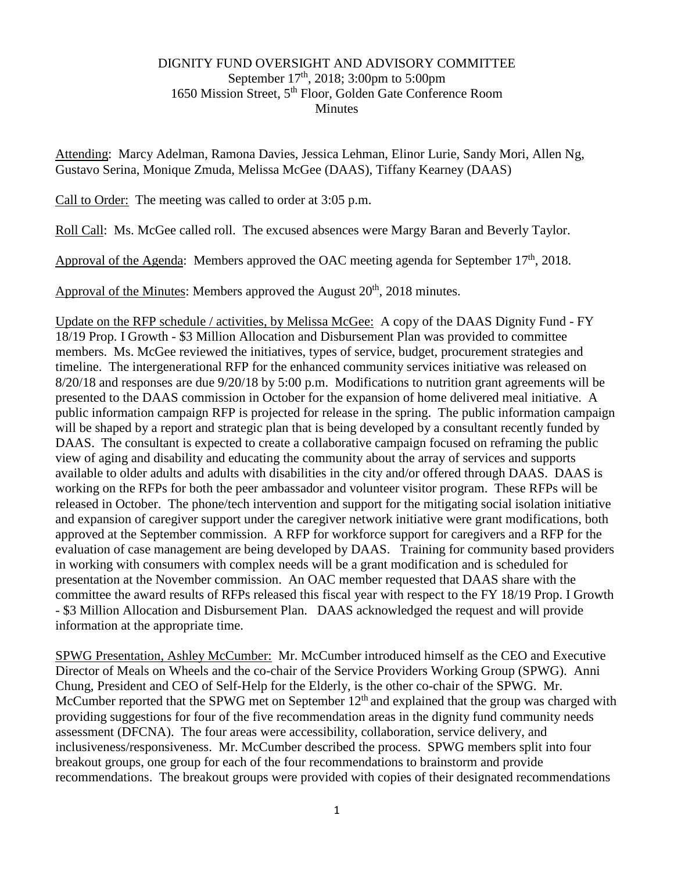## DIGNITY FUND OVERSIGHT AND ADVISORY COMMITTEE September 17<sup>th</sup>, 2018; 3:00pm to 5:00pm 1650 Mission Street, 5th Floor, Golden Gate Conference Room **Minutes**

Attending: Marcy Adelman, Ramona Davies, Jessica Lehman, Elinor Lurie, Sandy Mori, Allen Ng, Gustavo Serina, Monique Zmuda, Melissa McGee (DAAS), Tiffany Kearney (DAAS)

Call to Order: The meeting was called to order at 3:05 p.m.

Roll Call: Ms. McGee called roll. The excused absences were Margy Baran and Beverly Taylor.

Approval of the Agenda: Members approved the OAC meeting agenda for September 17<sup>th</sup>, 2018.

Approval of the Minutes: Members approved the August  $20<sup>th</sup>$ ,  $2018$  minutes.

Update on the RFP schedule / activities, by Melissa McGee: A copy of the DAAS Dignity Fund - FY 18/19 Prop. I Growth - \$3 Million Allocation and Disbursement Plan was provided to committee members. Ms. McGee reviewed the initiatives, types of service, budget, procurement strategies and timeline. The intergenerational RFP for the enhanced community services initiative was released on 8/20/18 and responses are due 9/20/18 by 5:00 p.m. Modifications to nutrition grant agreements will be presented to the DAAS commission in October for the expansion of home delivered meal initiative. A public information campaign RFP is projected for release in the spring. The public information campaign will be shaped by a report and strategic plan that is being developed by a consultant recently funded by DAAS. The consultant is expected to create a collaborative campaign focused on reframing the public view of aging and disability and educating the community about the array of services and supports available to older adults and adults with disabilities in the city and/or offered through DAAS. DAAS is working on the RFPs for both the peer ambassador and volunteer visitor program. These RFPs will be released in October. The phone/tech intervention and support for the mitigating social isolation initiative and expansion of caregiver support under the caregiver network initiative were grant modifications, both approved at the September commission. A RFP for workforce support for caregivers and a RFP for the evaluation of case management are being developed by DAAS. Training for community based providers in working with consumers with complex needs will be a grant modification and is scheduled for presentation at the November commission. An OAC member requested that DAAS share with the committee the award results of RFPs released this fiscal year with respect to the FY 18/19 Prop. I Growth - \$3 Million Allocation and Disbursement Plan. DAAS acknowledged the request and will provide information at the appropriate time.

SPWG Presentation, Ashley McCumber: Mr. McCumber introduced himself as the CEO and Executive Director of Meals on Wheels and the co-chair of the Service Providers Working Group (SPWG). Anni Chung, President and CEO of Self-Help for the Elderly, is the other co-chair of the SPWG. Mr. McCumber reported that the SPWG met on September 12<sup>th</sup> and explained that the group was charged with providing suggestions for four of the five recommendation areas in the dignity fund community needs assessment (DFCNA). The four areas were accessibility, collaboration, service delivery, and inclusiveness/responsiveness. Mr. McCumber described the process. SPWG members split into four breakout groups, one group for each of the four recommendations to brainstorm and provide recommendations. The breakout groups were provided with copies of their designated recommendations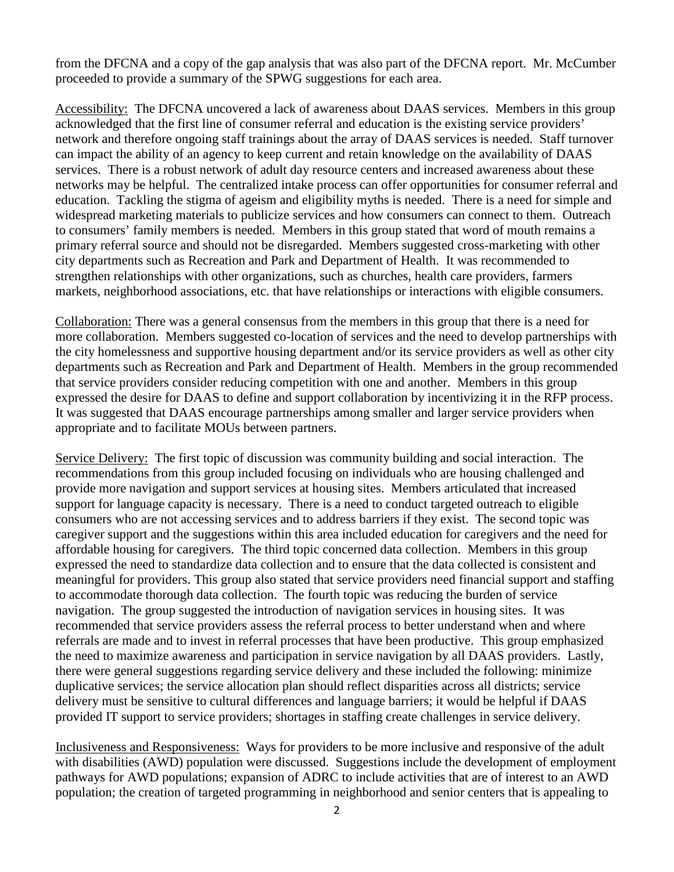from the DFCNA and a copy of the gap analysis that was also part of the DFCNA report. Mr. McCumber proceeded to provide a summary of the SPWG suggestions for each area.

Accessibility: The DFCNA uncovered a lack of awareness about DAAS services. Members in this group acknowledged that the first line of consumer referral and education is the existing service providers' network and therefore ongoing staff trainings about the array of DAAS services is needed. Staff turnover can impact the ability of an agency to keep current and retain knowledge on the availability of DAAS services. There is a robust network of adult day resource centers and increased awareness about these networks may be helpful. The centralized intake process can offer opportunities for consumer referral and education. Tackling the stigma of ageism and eligibility myths is needed. There is a need for simple and widespread marketing materials to publicize services and how consumers can connect to them. Outreach to consumers' family members is needed. Members in this group stated that word of mouth remains a primary referral source and should not be disregarded. Members suggested cross-marketing with other city departments such as Recreation and Park and Department of Health. It was recommended to strengthen relationships with other organizations, such as churches, health care providers, farmers markets, neighborhood associations, etc. that have relationships or interactions with eligible consumers.

Collaboration: There was a general consensus from the members in this group that there is a need for more collaboration. Members suggested co-location of services and the need to develop partnerships with the city homelessness and supportive housing department and/or its service providers as well as other city departments such as Recreation and Park and Department of Health. Members in the group recommended that service providers consider reducing competition with one and another. Members in this group expressed the desire for DAAS to define and support collaboration by incentivizing it in the RFP process. It was suggested that DAAS encourage partnerships among smaller and larger service providers when appropriate and to facilitate MOUs between partners.

Service Delivery: The first topic of discussion was community building and social interaction. The recommendations from this group included focusing on individuals who are housing challenged and provide more navigation and support services at housing sites. Members articulated that increased support for language capacity is necessary. There is a need to conduct targeted outreach to eligible consumers who are not accessing services and to address barriers if they exist. The second topic was caregiver support and the suggestions within this area included education for caregivers and the need for affordable housing for caregivers. The third topic concerned data collection. Members in this group expressed the need to standardize data collection and to ensure that the data collected is consistent and meaningful for providers. This group also stated that service providers need financial support and staffing to accommodate thorough data collection. The fourth topic was reducing the burden of service navigation. The group suggested the introduction of navigation services in housing sites. It was recommended that service providers assess the referral process to better understand when and where referrals are made and to invest in referral processes that have been productive. This group emphasized the need to maximize awareness and participation in service navigation by all DAAS providers. Lastly, there were general suggestions regarding service delivery and these included the following: minimize duplicative services; the service allocation plan should reflect disparities across all districts; service delivery must be sensitive to cultural differences and language barriers; it would be helpful if DAAS provided IT support to service providers; shortages in staffing create challenges in service delivery.

Inclusiveness and Responsiveness: Ways for providers to be more inclusive and responsive of the adult with disabilities (AWD) population were discussed. Suggestions include the development of employment pathways for AWD populations; expansion of ADRC to include activities that are of interest to an AWD population; the creation of targeted programming in neighborhood and senior centers that is appealing to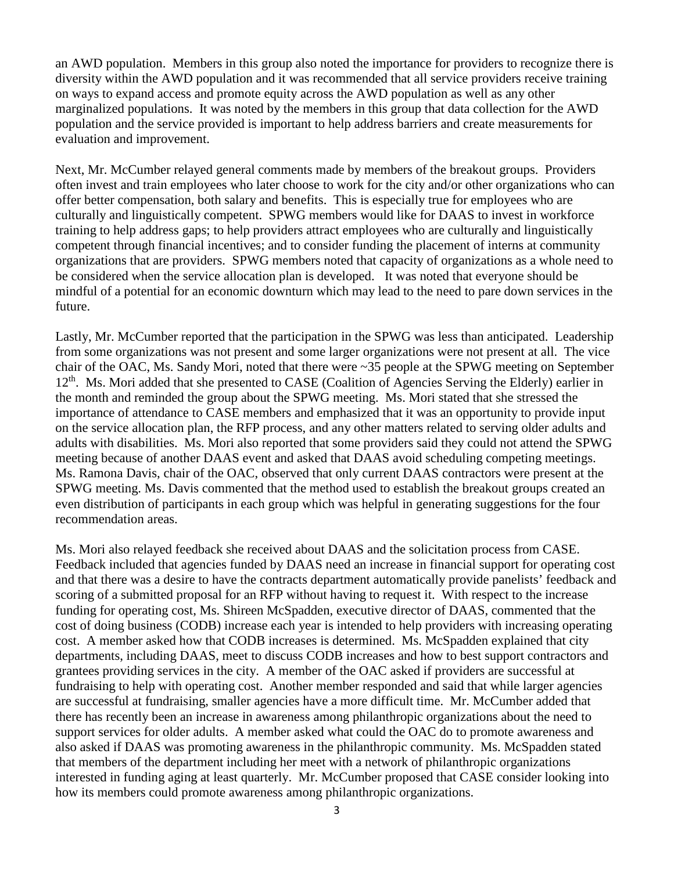an AWD population. Members in this group also noted the importance for providers to recognize there is diversity within the AWD population and it was recommended that all service providers receive training on ways to expand access and promote equity across the AWD population as well as any other marginalized populations. It was noted by the members in this group that data collection for the AWD population and the service provided is important to help address barriers and create measurements for evaluation and improvement.

Next, Mr. McCumber relayed general comments made by members of the breakout groups. Providers often invest and train employees who later choose to work for the city and/or other organizations who can offer better compensation, both salary and benefits. This is especially true for employees who are culturally and linguistically competent. SPWG members would like for DAAS to invest in workforce training to help address gaps; to help providers attract employees who are culturally and linguistically competent through financial incentives; and to consider funding the placement of interns at community organizations that are providers. SPWG members noted that capacity of organizations as a whole need to be considered when the service allocation plan is developed. It was noted that everyone should be mindful of a potential for an economic downturn which may lead to the need to pare down services in the future.

Lastly, Mr. McCumber reported that the participation in the SPWG was less than anticipated. Leadership from some organizations was not present and some larger organizations were not present at all. The vice chair of the OAC, Ms. Sandy Mori, noted that there were ~35 people at the SPWG meeting on September 12<sup>th</sup>. Ms. Mori added that she presented to CASE (Coalition of Agencies Serving the Elderly) earlier in the month and reminded the group about the SPWG meeting. Ms. Mori stated that she stressed the importance of attendance to CASE members and emphasized that it was an opportunity to provide input on the service allocation plan, the RFP process, and any other matters related to serving older adults and adults with disabilities. Ms. Mori also reported that some providers said they could not attend the SPWG meeting because of another DAAS event and asked that DAAS avoid scheduling competing meetings. Ms. Ramona Davis, chair of the OAC, observed that only current DAAS contractors were present at the SPWG meeting. Ms. Davis commented that the method used to establish the breakout groups created an even distribution of participants in each group which was helpful in generating suggestions for the four recommendation areas.

Ms. Mori also relayed feedback she received about DAAS and the solicitation process from CASE. Feedback included that agencies funded by DAAS need an increase in financial support for operating cost and that there was a desire to have the contracts department automatically provide panelists' feedback and scoring of a submitted proposal for an RFP without having to request it. With respect to the increase funding for operating cost, Ms. Shireen McSpadden, executive director of DAAS, commented that the cost of doing business (CODB) increase each year is intended to help providers with increasing operating cost. A member asked how that CODB increases is determined. Ms. McSpadden explained that city departments, including DAAS, meet to discuss CODB increases and how to best support contractors and grantees providing services in the city. A member of the OAC asked if providers are successful at fundraising to help with operating cost. Another member responded and said that while larger agencies are successful at fundraising, smaller agencies have a more difficult time. Mr. McCumber added that there has recently been an increase in awareness among philanthropic organizations about the need to support services for older adults. A member asked what could the OAC do to promote awareness and also asked if DAAS was promoting awareness in the philanthropic community. Ms. McSpadden stated that members of the department including her meet with a network of philanthropic organizations interested in funding aging at least quarterly. Mr. McCumber proposed that CASE consider looking into how its members could promote awareness among philanthropic organizations.